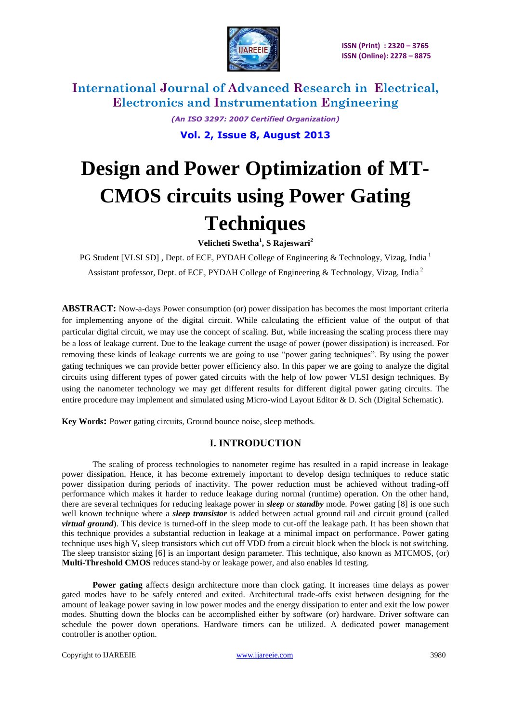

> *(An ISO 3297: 2007 Certified Organization)* **Vol. 2, Issue 8, August 2013**

# **Design and Power Optimization of MT-CMOS circuits using Power Gating Techniques**

**Velicheti Swetha<sup>1</sup> , S Rajeswari<sup>2</sup>**

PG Student [VLSI SD], Dept. of ECE, PYDAH College of Engineering & Technology, Vizag, India<sup>1</sup> Assistant professor, Dept. of ECE, PYDAH College of Engineering & Technology*,* Vizag, India <sup>2</sup>

**ABSTRACT:** Now-a-days Power consumption (or) power dissipation has becomes the most important criteria for implementing anyone of the digital circuit. While calculating the efficient value of the output of that particular digital circuit, we may use the concept of scaling. But, while increasing the scaling process there may be a loss of leakage current. Due to the leakage current the usage of power (power dissipation) is increased. For removing these kinds of leakage currents we are going to use "power gating techniques". By using the power gating techniques we can provide better power efficiency also. In this paper we are going to analyze the digital circuits using different types of power gated circuits with the help of low power VLSI design techniques. By using the nanometer technology we may get different results for different digital power gating circuits. The entire procedure may implement and simulated using Micro-wind Layout Editor & D. Sch (Digital Schematic).

**Key Words:** Power gating circuits, Ground bounce noise, sleep methods.

### **I. INTRODUCTION**

The scaling of process technologies to nanometer regime has resulted in a rapid increase in leakage power dissipation. Hence, it has become extremely important to develop design techniques to reduce static power dissipation during periods of inactivity. The power reduction must be achieved without trading-off performance which makes it harder to reduce leakage during normal (runtime) operation. On the other hand, there are several techniques for reducing leakage power in *sleep* or *standby* mode. Power gating [8] is one such well known technique where a *sleep transistor* is added between actual ground rail and circuit ground (called *virtual ground*). This device is turned-off in the sleep mode to cut-off the leakage path. It has been shown that this technique provides a substantial reduction in leakage at a minimal impact on performance. Power gating technique uses high  $V_t$  sleep transistors which cut off VDD from a circuit block when the block is not switching. The sleep transistor **s**izing [6] is an important design parameter. This technique, also known as MTCMOS, (or) **Multi-Threshold CMOS** reduces stand-by or leakage power, and also enable**s** Id testing.

**Power gating** affects design architecture more than clock gating. It increases time delays as power gated modes have to be safely entered and exited. Architectural trade-offs exist between designing for the amount of leakage power saving in low power modes and the energy dissipation to enter and exit the low power modes. Shutting down the blocks can be accomplished either by software (or) hardware. Driver software can schedule the power down operations. Hardware timers can be utilized. A dedicated power management controller is another option.

Copyright to IJAREEIE [www.ijareeie.com](http://www.ijareeie.com/) 3980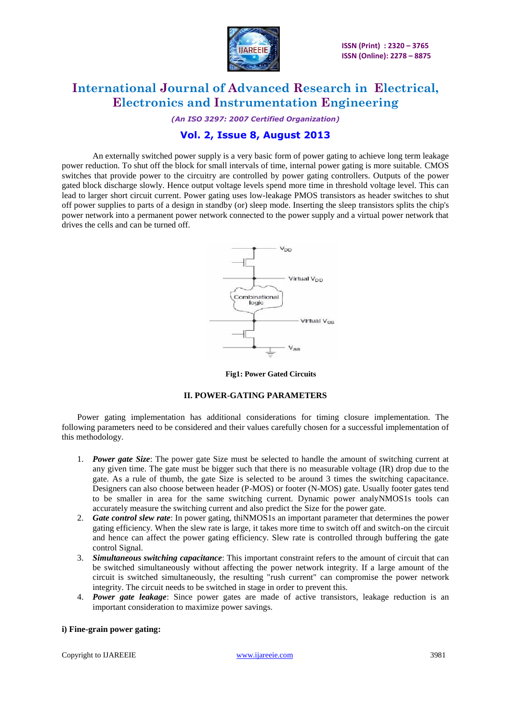

*(An ISO 3297: 2007 Certified Organization)*

# **Vol. 2, Issue 8, August 2013**

An externally switched power supply is a very basic form of power gating to achieve long term leakage power reduction. To shut off the block for small intervals of time, internal power gating is more suitable. CMOS switches that provide power to the circuitry are controlled by power gating controllers. Outputs of the power gated block discharge slowly. Hence output voltage levels spend more time in threshold voltage level. This can lead to larger short circuit current. Power gating uses low-leakage PMOS transistors as header switches to shut off power supplies to parts of a design in standby (or) sleep mode. Inserting the sleep transistors splits the chip's power network into a permanent power network connected to the power supply and a virtual power network that drives the cells and can be turned off.



**Fig1: Power Gated Circuits**

### **II. POWER-GATING PARAMETERS**

Power gating implementation has additional considerations for timing closure implementation. The following parameters need to be considered and their values carefully chosen for a successful implementation of this methodology.

- 1. *Power gate Size*: The power gate Size must be selected to handle the amount of switching current at any given time. The gate must be bigger such that there is no measurable voltage (IR) drop due to the gate. As a rule of thumb, the gate Size is selected to be around 3 times the switching capacitance. Designers can also choose between header (P-MOS) or footer (N-MOS) gate. Usually footer gates tend to be smaller in area for the same switching current. Dynamic power analyNMOS1s tools can accurately measure the switching current and also predict the Size for the power gate.
- 2. *Gate control slew rate*: In power gating, thiNMOS1s an important parameter that determines the power gating efficiency. When the slew rate is large, it takes more time to switch off and switch-on the circuit and hence can affect the power gating efficiency. Slew rate is controlled through buffering the gate control Signal.
- 3. *Simultaneous switching capacitance*: This important constraint refers to the amount of circuit that can be switched simultaneously without affecting the power network integrity. If a large amount of the circuit is switched simultaneously, the resulting "rush current" can compromise the power network integrity. The circuit needs to be switched in stage in order to prevent this.
- 4. *Power gate leakage*: Since power gates are made of active transistors, leakage reduction is an important consideration to maximize power savings.

### **i) Fine-grain power gating:**

Copyright to IJAREEIE [www.ijareeie.com](http://www.ijareeie.com/) 3981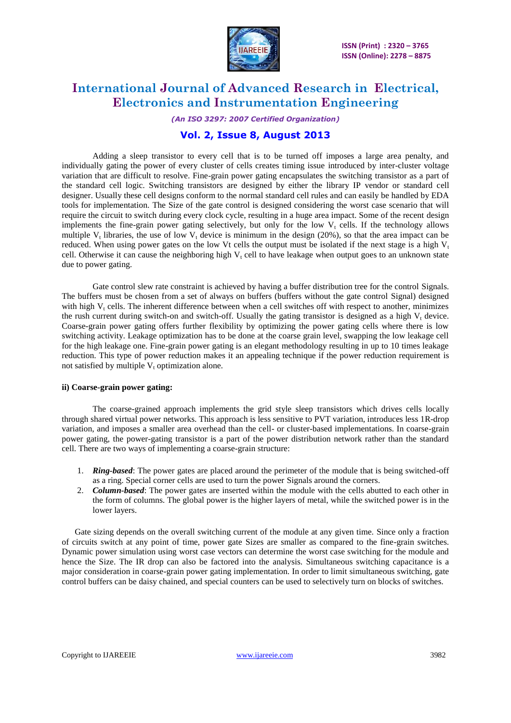

*(An ISO 3297: 2007 Certified Organization)*

### **Vol. 2, Issue 8, August 2013**

Adding a sleep transistor to every cell that is to be turned off imposes a large area penalty, and individually gating the power of every cluster of cells creates timing issue introduced by inter-cluster voltage variation that are difficult to resolve. Fine-grain power gating encapsulates the switching transistor as a part of the standard cell logic. Switching transistors are designed by either the library IP vendor or standard cell designer. Usually these cell designs conform to the normal standard cell rules and can easily be handled by EDA tools for implementation. The Size of the gate control is designed considering the worst case scenario that will require the circuit to switch during every clock cycle, resulting in a huge area impact. Some of the recent design implements the fine-grain power gating selectively, but only for the low  $V_t$  cells. If the technology allows multiple  $V_t$  libraries, the use of low  $V_t$  device is minimum in the design (20%), so that the area impact can be reduced. When using power gates on the low Vt cells the output must be isolated if the next stage is a high  $V_t$ cell. Otherwise it can cause the neighboring high  $V_t$  cell to have leakage when output goes to an unknown state due to power gating.

Gate control slew rate constraint is achieved by having a buffer distribution tree for the control Signals. The buffers must be chosen from a set of always on buffers (buffers without the gate control Signal) designed with high V<sub>t</sub> cells. The inherent difference between when a cell switches off with respect to another, minimizes the rush current during switch-on and switch-off. Usually the gating transistor is designed as a high V, device. Coarse-grain power gating offers further flexibility by optimizing the power gating cells where there is low switching activity. Leakage optimization has to be done at the coarse grain level, swapping the low leakage cell for the high leakage one. Fine-grain power gating is an elegant methodology resulting in up to 10 times leakage reduction. This type of power reduction makes it an appealing technique if the power reduction requirement is not satisfied by multiple  $V_t$  optimization alone.

#### **ii) Coarse-grain power gating:**

The coarse-grained approach implements the grid style sleep transistors which drives cells locally through shared virtual power networks. This approach is less sensitive to PVT variation, introduces less 1R-drop variation, and imposes a smaller area overhead than the cell- or cluster-based implementations. In coarse-grain power gating, the power-gating transistor is a part of the power distribution network rather than the standard cell. There are two ways of implementing a coarse-grain structure:

- 1. *Ring-based*: The power gates are placed around the perimeter of the module that is being switched-off as a ring. Special corner cells are used to turn the power Signals around the corners.
- 2. *Column-based*: The power gates are inserted within the module with the cells abutted to each other in the form of columns. The global power is the higher layers of metal, while the switched power is in the lower layers.

Gate sizing depends on the overall switching current of the module at any given time. Since only a fraction of circuits switch at any point of time, power gate Sizes are smaller as compared to the fine-grain switches. Dynamic power simulation using worst case vectors can determine the worst case switching for the module and hence the Size. The IR drop can also be factored into the analysis. Simultaneous switching capacitance is a major consideration in coarse-grain power gating implementation. In order to limit simultaneous switching, gate control buffers can be daisy chained, and special counters can be used to selectively turn on blocks of switches.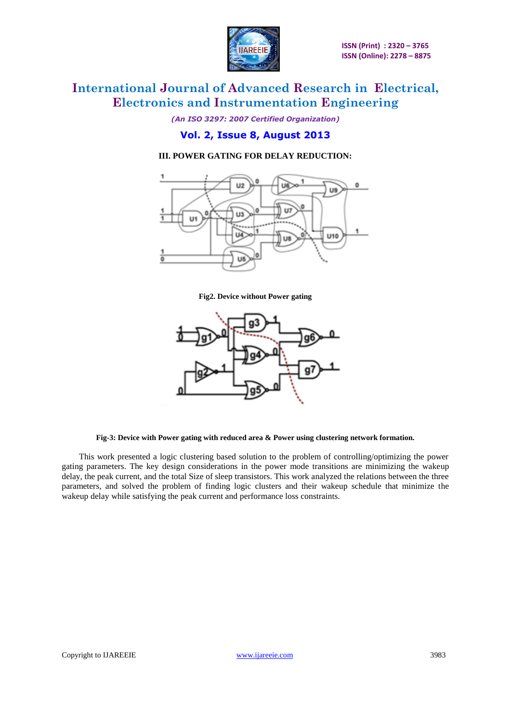

*(An ISO 3297: 2007 Certified Organization)*

### **Vol. 2, Issue 8, August 2013**

### **III. POWER GATING FOR DELAY REDUCTION:**



**Fig2. Device without Power gating**



#### **Fig-3: Device with Power gating with reduced area & Power using clustering network formation.**

This work presented a logic clustering based solution to the problem of controlling/optimizing the power gating parameters. The key design considerations in the power mode transitions are minimizing the wakeup delay, the peak current, and the total Size of sleep transistors. This work analyzed the relations between the three parameters, and solved the problem of finding logic clusters and their wakeup schedule that minimize the wakeup delay while satisfying the peak current and performance loss constraints.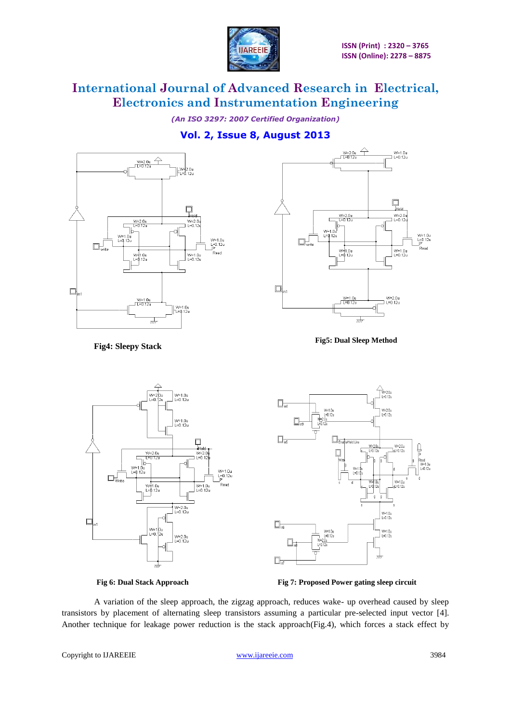

*(An ISO 3297: 2007 Certified Organization)*

# **Vol. 2, Issue 8, August 2013**





**Fig5: Dual Sleep Method**

 **Fig4: Sleepy Stack**





**Fig 6: Dual Stack Approach Fig 7: Proposed Power gating sleep circuit** 

A variation of the sleep approach, the zigzag approach, reduces wake- up overhead caused by sleep transistors by placement of alternating sleep transistors assuming a particular pre-selected input vector [4]. Another technique for leakage power reduction is the stack approach(Fig.4), which forces a stack effect by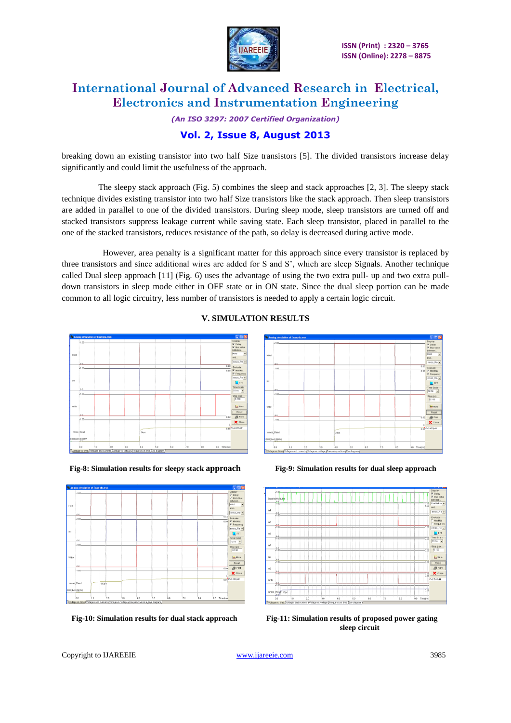

*(An ISO 3297: 2007 Certified Organization)*

# **Vol. 2, Issue 8, August 2013**

breaking down an existing transistor into two half Size transistors [5]. The divided transistors increase delay significantly and could limit the usefulness of the approach.

 The sleepy stack approach (Fig. 5) combines the sleep and stack approaches [2, 3]. The sleepy stack technique divides existing transistor into two half Size transistors like the stack approach. Then sleep transistors are added in parallel to one of the divided transistors. During sleep mode, sleep transistors are turned off and stacked transistors suppress leakage current while saving state. Each sleep transistor, placed in parallel to the one of the stacked transistors, reduces resistance of the path, so delay is decreased during active mode.

 However, area penalty is a significant matter for this approach since every transistor is replaced by three transistors and since additional wires are added for S and S', which are sleep Signals. Another technique called Dual sleep approach [11] (Fig. 6) uses the advantage of using the two extra pull- up and two extra pulldown transistors in sleep mode either in OFF state or in ON state. Since the dual sleep portion can be made common to all logic circuitry, less number of transistors is needed to apply a certain logic circuit.



### **V. SIMULATION RESULTS**









 **Fig-10: Simulation results for dual stack approach Fig-11: Simulation results of proposed power gating sleep circuit**

Copyright to IJAREEIE [www.ijareeie.com](http://www.ijareeie.com/) 3985